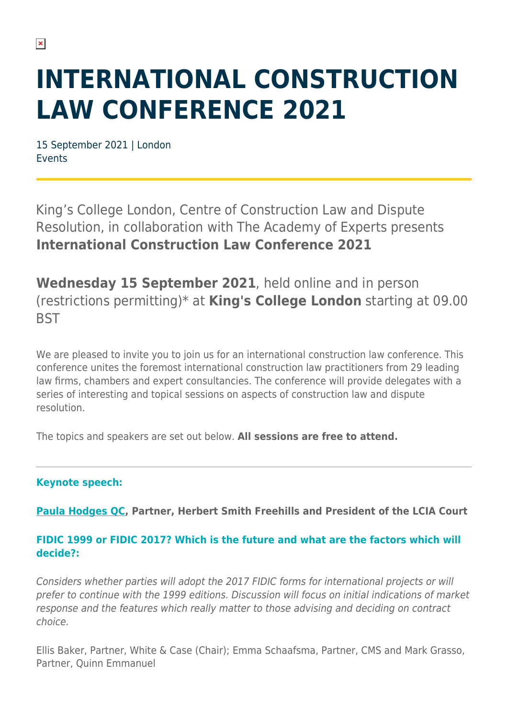# **INTERNATIONAL CONSTRUCTION LAW CONFERENCE 2021**

15 September 2021 | London Events

King's College London, Centre of Construction Law and Dispute Resolution, in collaboration with The Academy of Experts presents **International Construction Law Conference 2021**

**Wednesday 15 September 2021**, held online and in person (restrictions permitting)\* at **King's College London** starting at 09.00 **BST** 

We are pleased to invite you to join us for an international construction law conference. This conference unites the foremost international construction law practitioners from 29 leading law firms, chambers and expert consultancies. The conference will provide delegates with a series of interesting and topical sessions on aspects of construction law and dispute resolution.

The topics and speakers are set out below. **All sessions are free to attend.**

# **Keynote speech:**

**[Paula Hodges QC,](https://www.herbertsmithfreehills.com/our-people/paula-hodges-qc) Partner, Herbert Smith Freehills and President of the LCIA Court**

# **FIDIC 1999 or FIDIC 2017? Which is the future and what are the factors which will decide?:**

Considers whether parties will adopt the 2017 FIDIC forms for international projects or will prefer to continue with the 1999 editions. Discussion will focus on initial indications of market response and the features which really matter to those advising and deciding on contract choice.

Ellis Baker, Partner, White & Case (Chair); Emma Schaafsma, Partner, CMS and Mark Grasso, Partner, Quinn Emmanuel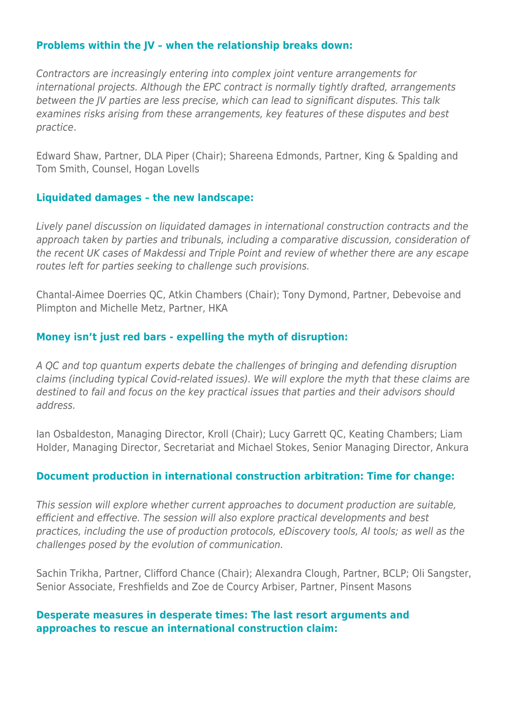#### **Problems within the JV – when the relationship breaks down:**

Contractors are increasingly entering into complex joint venture arrangements for international projects. Although the EPC contract is normally tightly drafted, arrangements between the JV parties are less precise, which can lead to significant disputes. This talk examines risks arising from these arrangements, key features of these disputes and best practice.

Edward Shaw, Partner, DLA Piper (Chair); Shareena Edmonds, Partner, King & Spalding and Tom Smith, Counsel, Hogan Lovells

#### **Liquidated damages – the new landscape:**

Lively panel discussion on liquidated damages in international construction contracts and the approach taken by parties and tribunals, including a comparative discussion, consideration of the recent UK cases of Makdessi and Triple Point and review of whether there are any escape routes left for parties seeking to challenge such provisions.

Chantal-Aimee Doerries QC, Atkin Chambers (Chair); Tony Dymond, Partner, Debevoise and Plimpton and Michelle Metz, Partner, HKA

#### **Money isn't just red bars - expelling the myth of disruption:**

A QC and top quantum experts debate the challenges of bringing and defending disruption claims (including typical Covid-related issues). We will explore the myth that these claims are destined to fail and focus on the key practical issues that parties and their advisors should address.

Ian Osbaldeston, Managing Director, Kroll (Chair); Lucy Garrett QC, Keating Chambers; Liam Holder, Managing Director, Secretariat and Michael Stokes, Senior Managing Director, Ankura

### **Document production in international construction arbitration: Time for change:**

This session will explore whether current approaches to document production are suitable, efficient and effective. The session will also explore practical developments and best practices, including the use of production protocols, eDiscovery tools, AI tools; as well as the challenges posed by the evolution of communication.

Sachin Trikha, Partner, Clifford Chance (Chair); Alexandra Clough, Partner, BCLP; Oli Sangster, Senior Associate, Freshfields and Zoe de Courcy Arbiser, Partner, Pinsent Masons

#### **Desperate measures in desperate times: The last resort arguments and approaches to rescue an international construction claim:**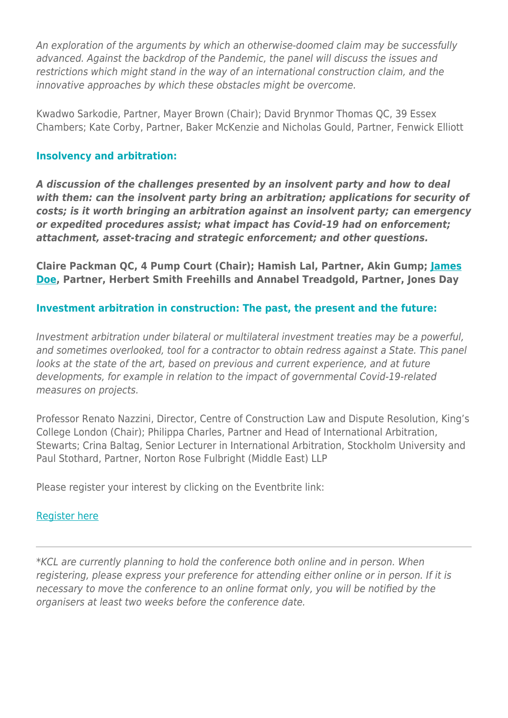An exploration of the arguments by which an otherwise-doomed claim may be successfully advanced. Against the backdrop of the Pandemic, the panel will discuss the issues and restrictions which might stand in the way of an international construction claim, and the innovative approaches by which these obstacles might be overcome.

Kwadwo Sarkodie, Partner, Mayer Brown (Chair); David Brynmor Thomas QC, 39 Essex Chambers; Kate Corby, Partner, Baker McKenzie and Nicholas Gould, Partner, Fenwick Elliott

#### **Insolvency and arbitration:**

*A discussion of the challenges presented by an insolvent party and how to deal with them: can the insolvent party bring an arbitration; applications for security of costs; is it worth bringing an arbitration against an insolvent party; can emergency or expedited procedures assist; what impact has Covid-19 had on enforcement; attachment, asset-tracing and strategic enforcement; and other questions.*

**Claire Packman QC, 4 Pump Court (Chair); Hamish Lal, Partner, Akin Gump; [James](https://www.herbertsmithfreehills.com/our-people/james-doe) [Doe](https://www.herbertsmithfreehills.com/our-people/james-doe), Partner, Herbert Smith Freehills and Annabel Treadgold, Partner, Jones Day**

# **Investment arbitration in construction: The past, the present and the future:**

Investment arbitration under bilateral or multilateral investment treaties may be a powerful, and sometimes overlooked, tool for a contractor to obtain redress against a State. This panel looks at the state of the art, based on previous and current experience, and at future developments, for example in relation to the impact of governmental Covid-19-related measures on projects.

Professor Renato Nazzini, Director, Centre of Construction Law and Dispute Resolution, King's College London (Chair); Philippa Charles, Partner and Head of International Arbitration, Stewarts; Crina Baltag, Senior Lecturer in International Arbitration, Stockholm University and Paul Stothard, Partner, Norton Rose Fulbright (Middle East) LLP

Please register your interest by clicking on the Eventbrite link:

### [Register here](https://www.eventbrite.co.uk/e/international-construction-law-conference-2021-tickets-159612885437)

\*KCL are currently planning to hold the conference both online and in person. When registering, please express your preference for attending either online or in person. If it is necessary to move the conference to an online format only, you will be notified by the organisers at least two weeks before the conference date.